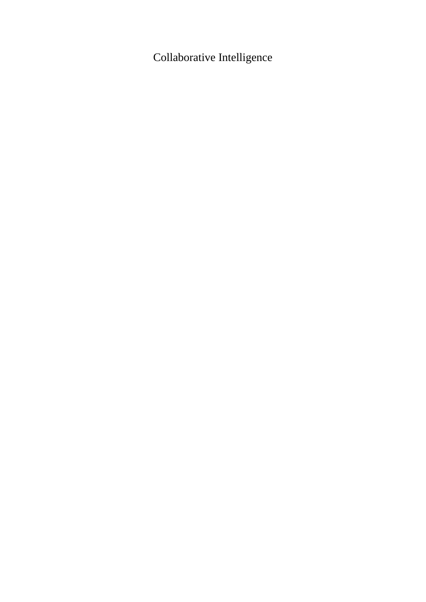Collaborative Intelligence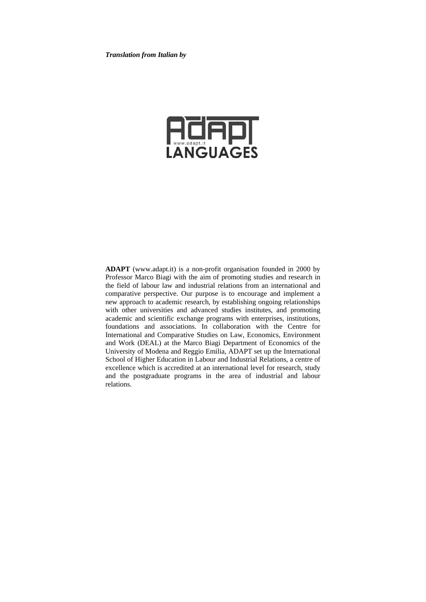*Translation from Italian by* 



**ADAPT** (www.adapt.it) is a non-profit organisation founded in 2000 by Professor Marco Biagi with the aim of promoting studies and research in the field of labour law and industrial relations from an international and comparative perspective. Our purpose is to encourage and implement a new approach to academic research, by establishing ongoing relationships with other universities and advanced studies institutes, and promoting academic and scientific exchange programs with enterprises, institutions, foundations and associations. In collaboration with the Centre for International and Comparative Studies on Law, Economics, Environment and Work (DEAL) at the Marco Biagi Department of Economics of the University of Modena and Reggio Emilia, ADAPT set up the International School of Higher Education in Labour and Industrial Relations, a centre of excellence which is accredited at an international level for research, study and the postgraduate programs in the area of industrial and labour relations.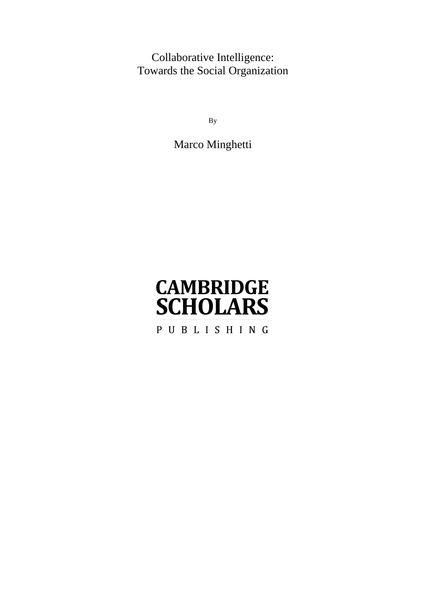# Collaborative Intelligence: Towards the Social Organization

By

Marco Minghetti

# **CAMBRIDGE SCHOLARS**

PUBLISHING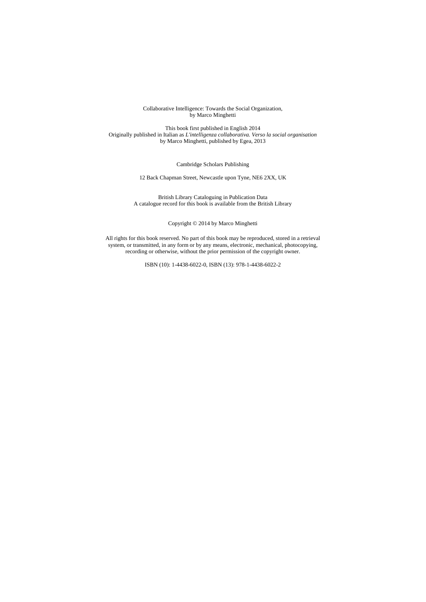#### Collaborative Intelligence: Towards the Social Organization, by Marco Minghetti

This book first published in English 2014 Originally published in Italian as *L'intelligenza collaborativa. Verso la social organisation* by Marco Minghetti, published by Egea, 2013

Cambridge Scholars Publishing

#### 12 Back Chapman Street, Newcastle upon Tyne, NE6 2XX, UK

British Library Cataloguing in Publication Data A catalogue record for this book is available from the British Library

Copyright © 2014 by Marco Minghetti

All rights for this book reserved. No part of this book may be reproduced, stored in a retrieval system, or transmitted, in any form or by any means, electronic, mechanical, photocopying, recording or otherwise, without the prior permission of the copyright owner.

ISBN (10): 1-4438-6022-0, ISBN (13): 978-1-4438-6022-2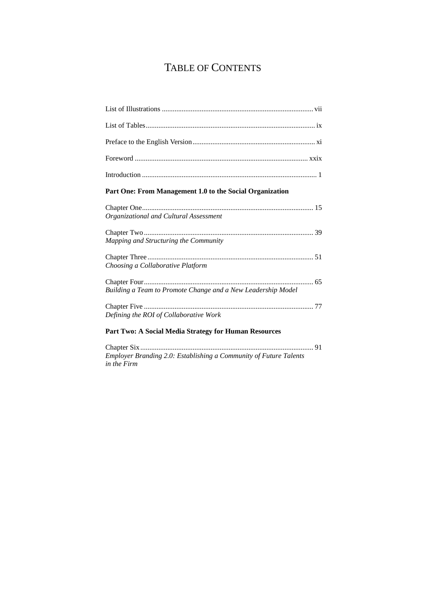# TABLE OF CONTENTS

| Part One: From Management 1.0 to the Social Organization     |
|--------------------------------------------------------------|
| Organizational and Cultural Assessment                       |
| Mapping and Structuring the Community                        |
| Choosing a Collaborative Platform                            |
| Building a Team to Promote Change and a New Leadership Model |
| Defining the ROI of Collaborative Work                       |
| Dant Trues A. Castel Media Chusteau fan Human Desemper       |

#### **Part Two: A Social Media Strategy for Human Resources**

Chapter Six ................................................................................................ 91 *Employer Branding 2.0: Establishing a Community of Future Talents in the Firm*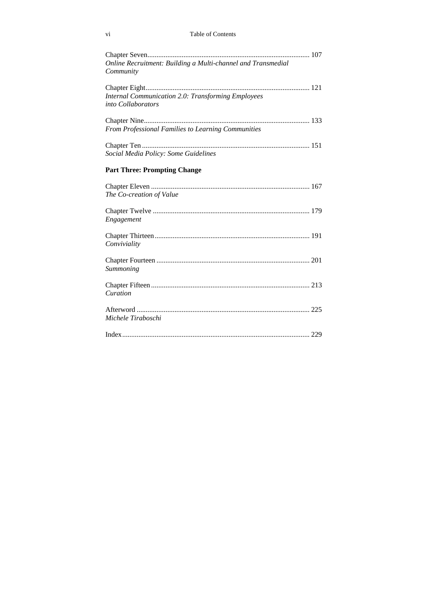#### vi Table of Contents

| Online Recruitment: Building a Multi-channel and Transmedial<br>Community       |  |
|---------------------------------------------------------------------------------|--|
| Internal Communication 2.0: Transforming Employees<br><i>into Collaborators</i> |  |
| From Professional Families to Learning Communities                              |  |
| Social Media Policy: Some Guidelines                                            |  |
| <b>Part Three: Prompting Change</b>                                             |  |
| The Co-creation of Value                                                        |  |
| Engagement                                                                      |  |
| Conviviality                                                                    |  |
| <i>Summoning</i>                                                                |  |
| Curation                                                                        |  |
| Michele Tiraboschi                                                              |  |
|                                                                                 |  |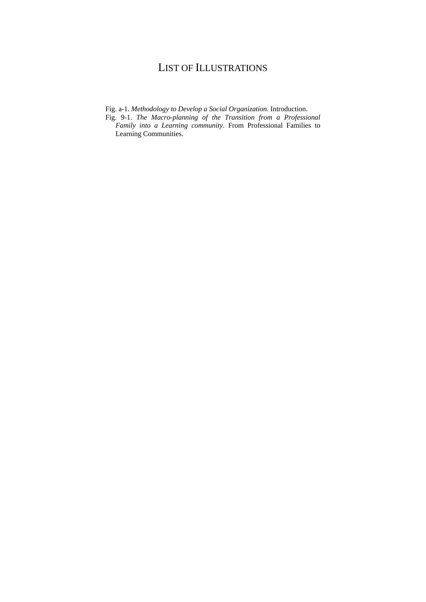## LIST OF ILLUSTRATIONS

Fig. a-1. *Methodology to Develop a Social Organization.* Introduction.

Fig. 9-1. *The Macro-planning of the Transition from a Professional Family into a Learning community.* From Professional Families to Learning Communities.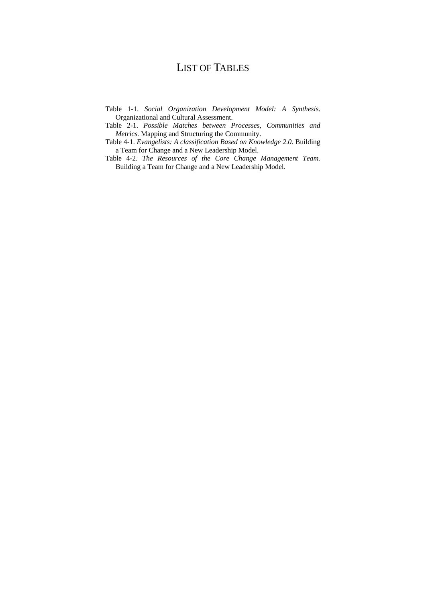## LIST OF TABLES

- Table 1-1. *Social Organization Development Model: A Synthesis*. Organizational and Cultural Assessment.
- Table 2-1. *Possible Matches between Processes, Communities and Metrics.* Mapping and Structuring the Community.
- Table 4-1. *Evangelists: A classification Based on Knowledge 2.0.* Building a Team for Change and a New Leadership Model.
- Table 4-2. *The Resources of the Core Change Management Team.*  Building a Team for Change and a New Leadership Model.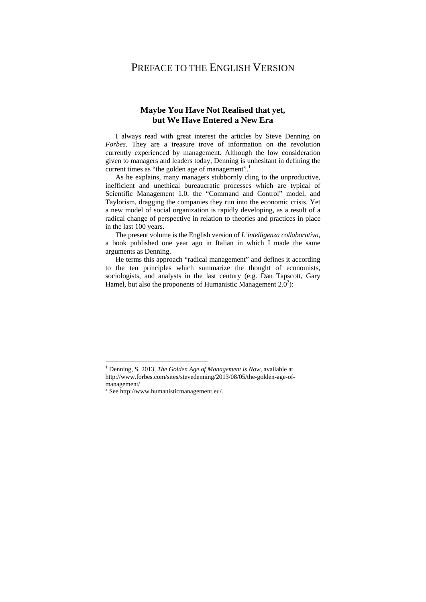## PREFACE TO THE ENGLISH VERSION

#### **Maybe You Have Not Realised that yet, but We Have Entered a New Era**

I always read with great interest the articles by Steve Denning on *Forbes*. They are a treasure trove of information on the revolution currently experienced by management. Although the low consideration given to managers and leaders today, Denning is unhesitant in defining the current times as "the golden age of management". $<sup>1</sup>$ </sup>

As he explains, many managers stubbornly cling to the unproductive, inefficient and unethical bureaucratic processes which are typical of Scientific Management 1.0, the "Command and Control" model, and Taylorism, dragging the companies they run into the economic crisis. Yet a new model of social organization is rapidly developing, as a result of a radical change of perspective in relation to theories and practices in place in the last 100 years.

The present volume is the English version of *L'intelligenza collaborativa*, a book published one year ago in Italian in which I made the same arguments as Denning.

He terms this approach "radical management" and defines it according to the ten principles which summarize the thought of economists, sociologists, and analysts in the last century (e.g. Dan Tapscott, Gary Hamel, but also the proponents of Humanistic Management  $2.0^2$ ):

<sup>&</sup>lt;sup>1</sup> Denning, S. 2013, *The Golden Age of Management is Now*, available at http://www.forbes.com/sites/stevedenning/2013/08/05/the-golden-age-ofmanagement/

<sup>2</sup> See http://www.humanisticmanagement.eu/.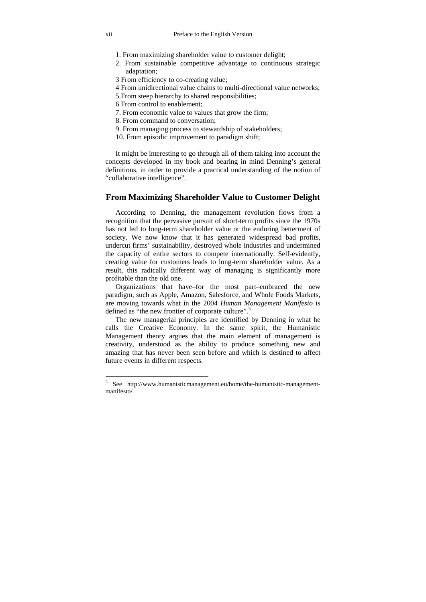- 1. From maximizing shareholder value to customer delight;
- 2. From sustainable competitive advantage to continuous strategic adaptation;
- 3 From efficiency to co-creating value;
- 4 From unidirectional value chains to multi-directional value networks;
- 5 From steep hierarchy to shared responsibilities;
- 6 From control to enablement;
- 7. From economic value to values that grow the firm;
- 8. From command to conversation;
- 9. From managing process to stewardship of stakeholders;
- 10. From episodic improvement to paradigm shift;

It might be interesting to go through all of them taking into account the concepts developed in my book and bearing in mind Denning's general definitions, in order to provide a practical understanding of the notion of "collaborative intelligence".

#### **From Maximizing Shareholder Value to Customer Delight**

According to Denning, the management revolution flows from a recognition that the pervasive pursuit of short-term profits since the 1970s has not led to long-term shareholder value or the enduring betterment of society. We now know that it has generated widespread bad profits, undercut firms' sustainability, destroyed whole industries and undermined the capacity of entire sectors to compete internationally. Self-evidently, creating value for customers leads to long-term shareholder value. As a result, this radically different way of managing is significantly more profitable than the old one.

Organizations that have–for the most part–embraced the new paradigm, such as Apple, Amazon, Salesforce, and Whole Foods Markets, are moving towards what in the 2004 *Human Management Manifesto* is defined as "the new frontier of corporate culture".<sup>3</sup>

The new managerial principles are identified by Denning in what he calls the Creative Economy. In the same spirit, the Humanistic Management theory argues that the main element of management is creativity, understood as the ability to produce something new and amazing that has never been seen before and which is destined to affect future events in different respects.

 3 See http://www.humanisticmanagement.eu/home/the-humanistic-managementmanifesto/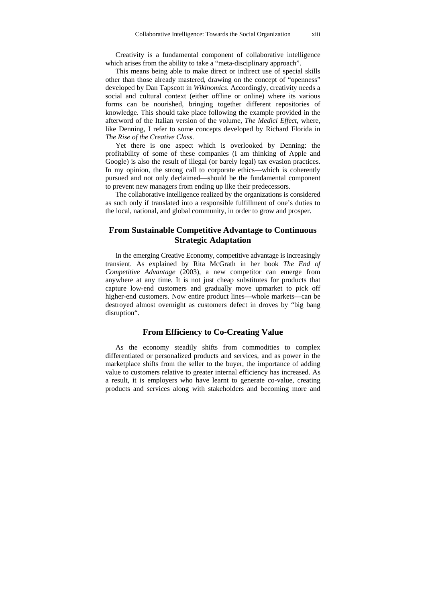Creativity is a fundamental component of collaborative intelligence which arises from the ability to take a "meta-disciplinary approach".

This means being able to make direct or indirect use of special skills other than those already mastered, drawing on the concept of "openness" developed by Dan Tapscott in *Wikinomics*. Accordingly, creativity needs a social and cultural context (either offline or online) where its various forms can be nourished, bringing together different repositories of knowledge. This should take place following the example provided in the afterword of the Italian version of the volume, *The Medici Effect*, where, like Denning, I refer to some concepts developed by Richard Florida in *The Rise of the Creative Class*.

Yet there is one aspect which is overlooked by Denning: the profitability of some of these companies (I am thinking of Apple and Google) is also the result of illegal (or barely legal) tax evasion practices. In my opinion, the strong call to corporate ethics—which is coherently pursued and not only declaimed—should be the fundamental component to prevent new managers from ending up like their predecessors.

The collaborative intelligence realized by the organizations is considered as such only if translated into a responsible fulfillment of one's duties to the local, national, and global community, in order to grow and prosper.

#### **From Sustainable Competitive Advantage to Continuous Strategic Adaptation**

In the emerging Creative Economy, competitive advantage is increasingly transient. As explained by Rita McGrath in her book *The End of Competitive Advantage* (2003), a new competitor can emerge from anywhere at any time. It is not just cheap substitutes for products that capture low-end customers and gradually move upmarket to pick off higher-end customers. Now entire product lines—whole markets—can be destroyed almost overnight as customers defect in droves by "big bang disruption".

#### **From Efficiency to Co-Creating Value**

As the economy steadily shifts from commodities to complex differentiated or personalized products and services, and as power in the marketplace shifts from the seller to the buyer, the importance of adding value to customers relative to greater internal efficiency has increased. As a result, it is employers who have learnt to generate co-value, creating products and services along with stakeholders and becoming more and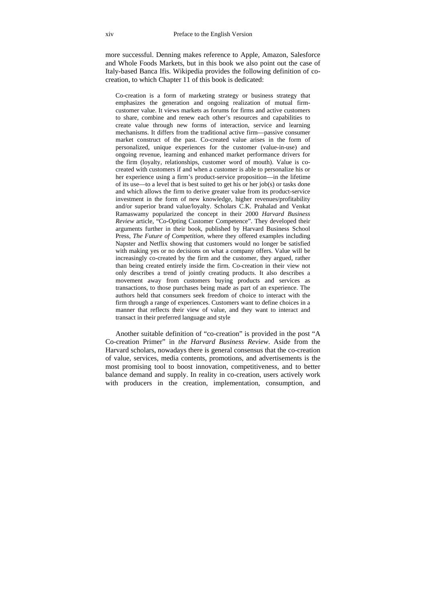more successful. Denning makes reference to Apple, Amazon, Salesforce and Whole Foods Markets, but in this book we also point out the case of Italy-based Banca Ifis. Wikipedia provides the following definition of cocreation, to which Chapter 11 of this book is dedicated:

Co-creation is a form of marketing strategy or business strategy that emphasizes the generation and ongoing realization of mutual firmcustomer value. It views markets as forums for firms and active customers to share, combine and renew each other's resources and capabilities to create value through new forms of interaction, service and learning mechanisms. It differs from the traditional active firm—passive consumer market construct of the past. Co-created value arises in the form of personalized, unique experiences for the customer (value-in-use) and ongoing revenue, learning and enhanced market performance drivers for the firm (loyalty, relationships, customer word of mouth). Value is cocreated with customers if and when a customer is able to personalize his or her experience using a firm's product-service proposition—in the lifetime of its use—to a level that is best suited to get his or her job(s) or tasks done and which allows the firm to derive greater value from its product-service investment in the form of new knowledge, higher revenues/profitability and/or superior brand value/loyalty. Scholars C.K. Prahalad and Venkat Ramaswamy popularized the concept in their 2000 *Harvard Business Review* article, "Co-Opting Customer Competence". They developed their arguments further in their book, published by Harvard Business School Press, *The Future of Competition*, where they offered examples including Napster and Netflix showing that customers would no longer be satisfied with making yes or no decisions on what a company offers. Value will be increasingly co-created by the firm and the customer, they argued, rather than being created entirely inside the firm. Co-creation in their view not only describes a trend of jointly creating products. It also describes a movement away from customers buying products and services as transactions, to those purchases being made as part of an experience. The authors held that consumers seek freedom of choice to interact with the firm through a range of experiences. Customers want to define choices in a manner that reflects their view of value, and they want to interact and transact in their preferred language and style

Another suitable definition of "co-creation" is provided in the post "A Co-creation Primer" in *the Harvard Business Review*. Aside from the Harvard scholars, nowadays there is general consensus that the co-creation of value, services, media contents, promotions, and advertisements is the most promising tool to boost innovation, competitiveness, and to better balance demand and supply. In reality in co-creation, users actively work with producers in the creation, implementation, consumption, and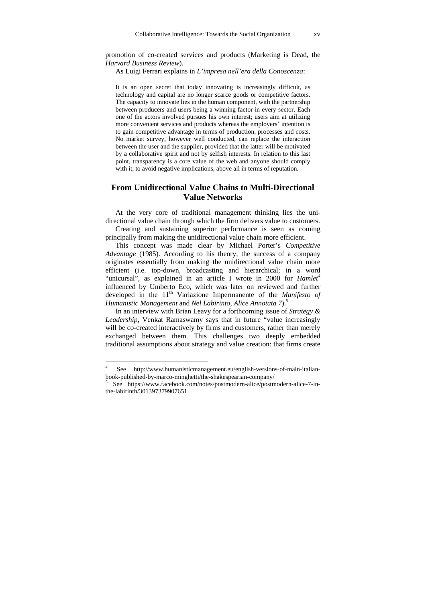promotion of co-created services and products (Marketing is Dead, the *Harvard Business Review*).

As Luigi Ferrari explains in *L'impresa nell'era della Conoscenza*:

It is an open secret that today innovating is increasingly difficult, as technology and capital are no longer scarce goods or competitive factors. The capacity to innovate lies in the human component, with the partnership between producers and users being a winning factor in every sector. Each one of the actors involved pursues his own interest; users aim at utilizing more convenient services and products whereas the employers' intention is to gain competitive advantage in terms of production, processes and costs. No market survey, however well conducted, can replace the interaction between the user and the supplier, provided that the latter will be motivated by a collaborative spirit and not by selfish interests. In relation to this last point, transparency is a core value of the web and anyone should comply with it, to avoid negative implications, above all in terms of reputation.

### **From Unidirectional Value Chains to Multi-Directional Value Networks**

At the very core of traditional management thinking lies the unidirectional value chain through which the firm delivers value to customers.

Creating and sustaining superior performance is seen as coming principally from making the unidirectional value chain more efficient.

This concept was made clear by Michael Porter's *Competitive Advantage* (1985). According to his theory, the success of a company originates essentially from making the unidirectional value chain more efficient (i.e. top-down, broadcasting and hierarchical; in a word "unicursal", as explained in an article I wrote in 2000 for *Hamlet<sup>4</sup>* influenced by Umberto Eco, which was later on reviewed and further developed in the 11<sup>th</sup> Variazione Impermanente of the *Manifesto of Humanistic Management* and *Nel Labirinto, Alice Annotata 7*).5

In an interview with Brian Leavy for a forthcoming issue of *Strategy & Leadership*, Venkat Ramaswamy says that in future "value increasingly will be co-created interactively by firms and customers, rather than merely exchanged between them. This challenges two deeply embedded traditional assumptions about strategy and value creation: that firms create

<sup>4</sup> See http://www.humanisticmanagement.eu/english-versions-of-main-italianbook-published-by-marco-minghetti/the-shakespearian-company/ 5

See https://www.facebook.com/notes/postmodern-alice/postmodern-alice-7-inthe-labirinth/301397379907651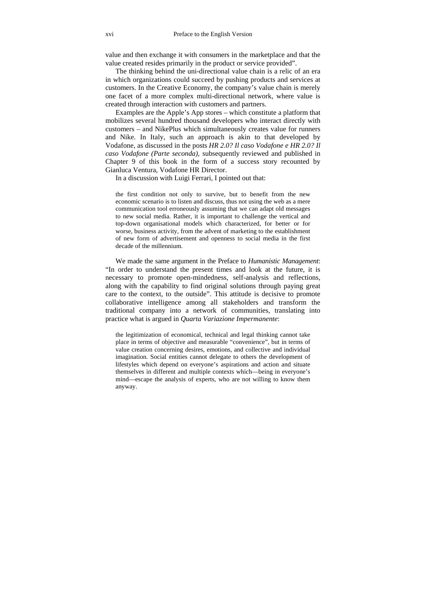value and then exchange it with consumers in the marketplace and that the value created resides primarily in the product or service provided".

The thinking behind the uni-directional value chain is a relic of an era in which organizations could succeed by pushing products and services at customers. In the Creative Economy, the company's value chain is merely one facet of a more complex multi-directional network, where value is created through interaction with customers and partners.

Examples are the Apple's App stores – which constitute a platform that mobilizes several hundred thousand developers who interact directly with customers – and NikePlus which simultaneously creates value for runners and Nike. In Italy, such an approach is akin to that developed by Vodafone, as discussed in the posts *HR 2.0? Il caso Vodafone e HR 2.0? Il caso Vodafone (Parte seconda)*, subsequently reviewed and published in Chapter 9 of this book in the form of a success story recounted by Gianluca Ventura, Vodafone HR Director.

In a discussion with Luigi Ferrari, I pointed out that:

the first condition not only to survive, but to benefit from the new economic scenario is to listen and discuss, thus not using the web as a mere communication tool erroneously assuming that we can adapt old messages to new social media. Rather, it is important to challenge the vertical and top-down organisational models which characterized, for better or for worse, business activity, from the advent of marketing to the establishment of new form of advertisement and openness to social media in the first decade of the millennium.

We made the same argument in the Preface to *Humanistic Management*: "In order to understand the present times and look at the future, it is necessary to promote open-mindedness, self-analysis and reflections, along with the capability to find original solutions through paying great care to the context, to the outside". This attitude is decisive to promote collaborative intelligence among all stakeholders and transform the traditional company into a network of communities, translating into practice what is argued in *Quarta Variazione Impermanente*:

the legitimization of economical, technical and legal thinking cannot take place in terms of objective and measurable "convenience", but in terms of value creation concerning desires, emotions, and collective and individual imagination. Social entities cannot delegate to others the development of lifestyles which depend on everyone's aspirations and action and situate themselves in different and multiple contexts which—being in everyone's mind—escape the analysis of experts, who are not willing to know them anyway.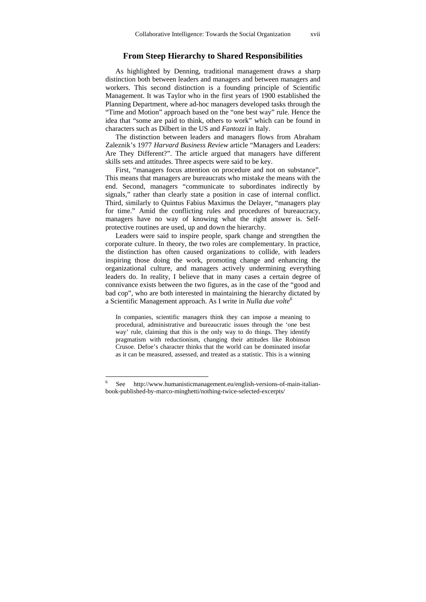#### **From Steep Hierarchy to Shared Responsibilities**

As highlighted by Denning, traditional management draws a sharp distinction both between leaders and managers and between managers and workers. This second distinction is a founding principle of Scientific Management. It was Taylor who in the first years of 1900 established the Planning Department, where ad-hoc managers developed tasks through the "Time and Motion" approach based on the "one best way" rule. Hence the idea that "some are paid to think, others to work" which can be found in characters such as Dilbert in the US and *Fantozzi* in Italy.

The distinction between leaders and managers flows from Abraham Zaleznik's 1977 *Harvard Business Review* article "Managers and Leaders: Are They Different?". The article argued that managers have different skills sets and attitudes. Three aspects were said to be key.

First, "managers focus attention on procedure and not on substance". This means that managers are bureaucrats who mistake the means with the end. Second, managers "communicate to subordinates indirectly by signals," rather than clearly state a position in case of internal conflict. Third, similarly to Quintus Fabius Maximus the Delayer, "managers play for time." Amid the conflicting rules and procedures of bureaucracy, managers have no way of knowing what the right answer is. Selfprotective routines are used, up and down the hierarchy.

Leaders were said to inspire people, spark change and strengthen the corporate culture. In theory, the two roles are complementary. In practice, the distinction has often caused organizations to collide, with leaders inspiring those doing the work, promoting change and enhancing the organizational culture, and managers actively undermining everything leaders do. In reality, I believe that in many cases a certain degree of connivance exists between the two figures, as in the case of the "good and bad cop", who are both interested in maintaining the hierarchy dictated by a Scientific Management approach. As I write in *Nulla due volte<sup>6</sup>*

In companies, scientific managers think they can impose a meaning to procedural, administrative and bureaucratic issues through the 'one best way' rule, claiming that this is the only way to do things. They identify pragmatism with reductionism, changing their attitudes like Robinson Crusoe. Defoe's character thinks that the world can be dominated insofar as it can be measured, assessed, and treated as a statistic. This is a winning

<sup>6</sup> See http://www.humanisticmanagement.eu/english-versions-of-main-italianbook-published-by-marco-minghetti/nothing-twice-selected-excerpts/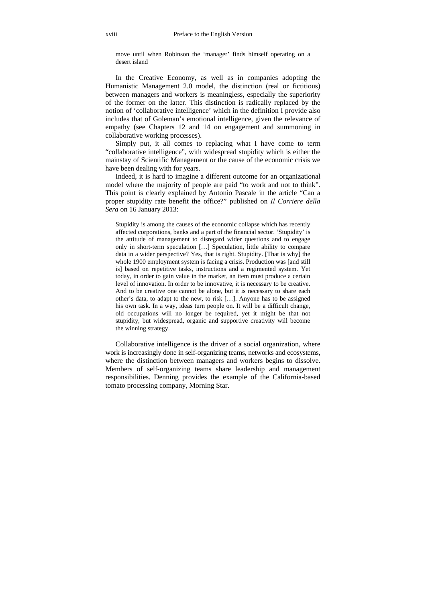move until when Robinson the 'manager' finds himself operating on a desert island

In the Creative Economy, as well as in companies adopting the Humanistic Management 2.0 model, the distinction (real or fictitious) between managers and workers is meaningless, especially the superiority of the former on the latter. This distinction is radically replaced by the notion of 'collaborative intelligence' which in the definition I provide also includes that of Goleman's emotional intelligence, given the relevance of empathy (see Chapters 12 and 14 on engagement and summoning in collaborative working processes).

Simply put, it all comes to replacing what I have come to term "collaborative intelligence", with widespread stupidity which is either the mainstay of Scientific Management or the cause of the economic crisis we have been dealing with for years.

Indeed, it is hard to imagine a different outcome for an organizational model where the majority of people are paid "to work and not to think". This point is clearly explained by Antonio Pascale in the article "Can a proper stupidity rate benefit the office?" published on *Il Corriere della Sera* on 16 January 2013:

Stupidity is among the causes of the economic collapse which has recently affected corporations, banks and a part of the financial sector. 'Stupidity' is the attitude of management to disregard wider questions and to engage only in short-term speculation […] Speculation, little ability to compare data in a wider perspective? Yes, that is right. Stupidity. [That is why] the whole 1900 employment system is facing a crisis. Production was [and still] is] based on repetitive tasks, instructions and a regimented system. Yet today, in order to gain value in the market, an item must produce a certain level of innovation. In order to be innovative, it is necessary to be creative. And to be creative one cannot be alone, but it is necessary to share each other's data, to adapt to the new, to risk […]. Anyone has to be assigned his own task. In a way, ideas turn people on. It will be a difficult change, old occupations will no longer be required, yet it might be that not stupidity, but widespread, organic and supportive creativity will become the winning strategy.

Collaborative intelligence is the driver of a social organization, where work is increasingly done in self-organizing teams, networks and ecosystems, where the distinction between managers and workers begins to dissolve. Members of self-organizing teams share leadership and management responsibilities. Denning provides the example of the California-based tomato processing company, Morning Star.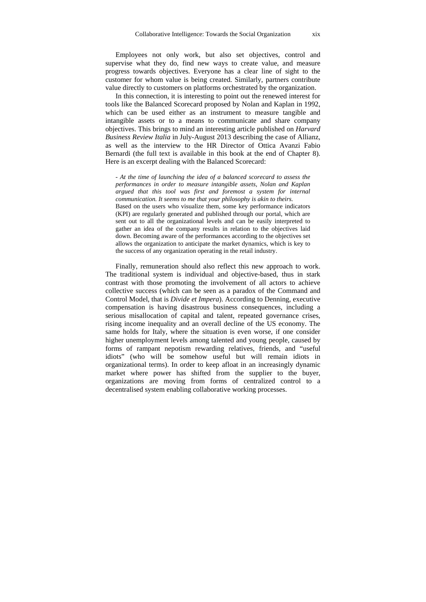Employees not only work, but also set objectives, control and supervise what they do, find new ways to create value, and measure progress towards objectives. Everyone has a clear line of sight to the customer for whom value is being created. Similarly, partners contribute value directly to customers on platforms orchestrated by the organization.

In this connection, it is interesting to point out the renewed interest for tools like the Balanced Scorecard proposed by Nolan and Kaplan in 1992, which can be used either as an instrument to measure tangible and intangible assets or to a means to communicate and share company objectives. This brings to mind an interesting article published on *Harvard Business Review Italia* in July-August 2013 describing the case of Allianz, as well as the interview to the HR Director of Ottica Avanzi Fabio Bernardi (the full text is available in this book at the end of Chapter 8). Here is an excerpt dealing with the Balanced Scorecard:

*- At the time of launching the idea of a balanced scorecard to assess the performances in order to measure intangible assets, Nolan and Kaplan argued that this tool was first and foremost a system for internal communication. It seems to me that your philosophy is akin to theirs.*  Based on the users who visualize them, some key performance indicators (KPI) are regularly generated and published through our portal, which are sent out to all the organizational levels and can be easily interpreted to gather an idea of the company results in relation to the objectives laid down. Becoming aware of the performances according to the objectives set allows the organization to anticipate the market dynamics, which is key to the success of any organization operating in the retail industry.

Finally, remuneration should also reflect this new approach to work. The traditional system is individual and objective-based, thus in stark contrast with those promoting the involvement of all actors to achieve collective success (which can be seen as a paradox of the Command and Control Model, that is *Divide et Impera*). According to Denning, executive compensation is having disastrous business consequences, including a serious misallocation of capital and talent, repeated governance crises, rising income inequality and an overall decline of the US economy. The same holds for Italy, where the situation is even worse, if one consider higher unemployment levels among talented and young people, caused by forms of rampant nepotism rewarding relatives, friends, and "useful idiots" (who will be somehow useful but will remain idiots in organizational terms). In order to keep afloat in an increasingly dynamic market where power has shifted from the supplier to the buyer, organizations are moving from forms of centralized control to a decentralised system enabling collaborative working processes.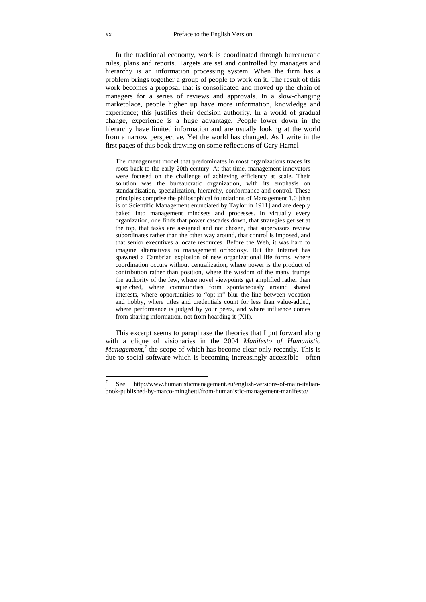In the traditional economy, work is coordinated through bureaucratic rules, plans and reports. Targets are set and controlled by managers and hierarchy is an information processing system. When the firm has a problem brings together a group of people to work on it. The result of this work becomes a proposal that is consolidated and moved up the chain of managers for a series of reviews and approvals. In a slow-changing marketplace, people higher up have more information, knowledge and experience; this justifies their decision authority. In a world of gradual change, experience is a huge advantage. People lower down in the hierarchy have limited information and are usually looking at the world from a narrow perspective. Yet the world has changed. As I write in the first pages of this book drawing on some reflections of Gary Hamel

The management model that predominates in most organizations traces its roots back to the early 20th century. At that time, management innovators were focused on the challenge of achieving efficiency at scale. Their solution was the bureaucratic organization, with its emphasis on standardization, specialization, hierarchy, conformance and control. These principles comprise the philosophical foundations of Management 1.0 [that is of Scientific Management enunciated by Taylor in 1911] and are deeply baked into management mindsets and processes. In virtually every organization, one finds that power cascades down, that strategies get set at the top, that tasks are assigned and not chosen, that supervisors review subordinates rather than the other way around, that control is imposed, and that senior executives allocate resources. Before the Web, it was hard to imagine alternatives to management orthodoxy. But the Internet has spawned a Cambrian explosion of new organizational life forms, where coordination occurs without centralization, where power is the product of contribution rather than position, where the wisdom of the many trumps the authority of the few, where novel viewpoints get amplified rather than squelched, where communities form spontaneously around shared interests, where opportunities to "opt-in" blur the line between vocation and hobby, where titles and credentials count for less than value-added, where performance is judged by your peers, and where influence comes from sharing information, not from hoarding it (XII).

This excerpt seems to paraphrase the theories that I put forward along with a clique of visionaries in the 2004 *Manifesto of Humanistic*   $Management<sup>7</sup>$ , the scope of which has become clear only recently. This is due to social software which is becoming increasingly accessible—often

<sup>7</sup> See http://www.humanisticmanagement.eu/english-versions-of-main-italianbook-published-by-marco-minghetti/from-humanistic-management-manifesto/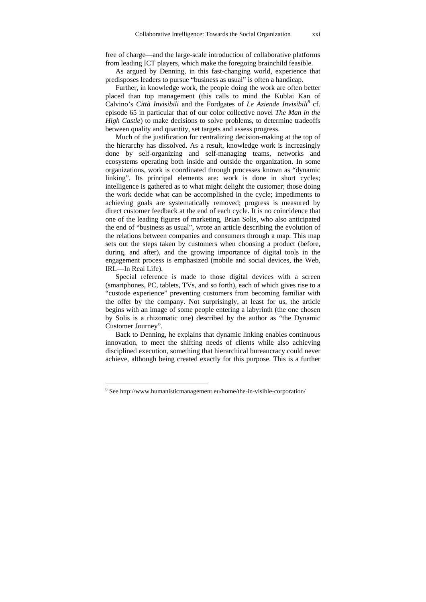free of charge—and the large-scale introduction of collaborative platforms from leading ICT players, which make the foregoing brainchild feasible.

As argued by Denning, in this fast-changing world, experience that predisposes leaders to pursue "business as usual" is often a handicap.

Further, in knowledge work, the people doing the work are often better placed than top management (this calls to mind the Kublai Kan of Calvino's *Città Invisibili* and the Fordgates of *Le Aziende Invisibili*<sup>8</sup> cf. episode 65 in particular that of our color collective novel *The Man in the High Castle*) to make decisions to solve problems, to determine tradeoffs between quality and quantity, set targets and assess progress.

Much of the justification for centralizing decision-making at the top of the hierarchy has dissolved. As a result, knowledge work is increasingly done by self-organizing and self-managing teams, networks and ecosystems operating both inside and outside the organization. In some organizations, work is coordinated through processes known as "dynamic linking". Its principal elements are: work is done in short cycles; intelligence is gathered as to what might delight the customer; those doing the work decide what can be accomplished in the cycle; impediments to achieving goals are systematically removed; progress is measured by direct customer feedback at the end of each cycle. It is no coincidence that one of the leading figures of marketing, Brian Solis, who also anticipated the end of "business as usual", wrote an article describing the evolution of the relations between companies and consumers through a map. This map sets out the steps taken by customers when choosing a product (before, during, and after), and the growing importance of digital tools in the engagement process is emphasized (mobile and social devices, the Web, IRL—In Real Life).

Special reference is made to those digital devices with a screen (smartphones, PC, tablets, TVs, and so forth), each of which gives rise to a "custode experience" preventing customers from becoming familiar with the offer by the company. Not surprisingly, at least for us, the article begins with an image of some people entering a labyrinth (the one chosen by Solis is a rhizomatic one) described by the author as "the Dynamic Customer Journey".

Back to Denning, he explains that dynamic linking enables continuous innovation, to meet the shifting needs of clients while also achieving disciplined execution, something that hierarchical bureaucracy could never achieve, although being created exactly for this purpose. This is a further

 8 See http://www.humanisticmanagement.eu/home/the-in-visible-corporation/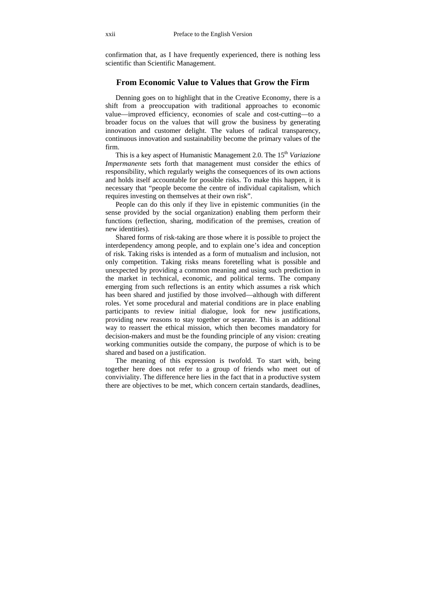confirmation that, as I have frequently experienced, there is nothing less scientific than Scientific Management.

#### **From Economic Value to Values that Grow the Firm**

Denning goes on to highlight that in the Creative Economy, there is a shift from a preoccupation with traditional approaches to economic value—improved efficiency, economies of scale and cost-cutting—to a broader focus on the values that will grow the business by generating innovation and customer delight. The values of radical transparency, continuous innovation and sustainability become the primary values of the firm.

This is a key aspect of Humanistic Management 2.0. The 15<sup>th</sup> *Variazione Impermanente* sets forth that management must consider the ethics of responsibility, which regularly weighs the consequences of its own actions and holds itself accountable for possible risks. To make this happen, it is necessary that "people become the centre of individual capitalism, which requires investing on themselves at their own risk".

People can do this only if they live in epistemic communities (in the sense provided by the social organization) enabling them perform their functions (reflection, sharing, modification of the premises, creation of new identities).

Shared forms of risk-taking are those where it is possible to project the interdependency among people, and to explain one's idea and conception of risk. Taking risks is intended as a form of mutualism and inclusion, not only competition. Taking risks means foretelling what is possible and unexpected by providing a common meaning and using such prediction in the market in technical, economic, and political terms. The company emerging from such reflections is an entity which assumes a risk which has been shared and justified by those involved—although with different roles. Yet some procedural and material conditions are in place enabling participants to review initial dialogue, look for new justifications, providing new reasons to stay together or separate. This is an additional way to reassert the ethical mission, which then becomes mandatory for decision-makers and must be the founding principle of any vision: creating working communities outside the company, the purpose of which is to be shared and based on a justification.

The meaning of this expression is twofold. To start with, being together here does not refer to a group of friends who meet out of conviviality. The difference here lies in the fact that in a productive system there are objectives to be met, which concern certain standards, deadlines,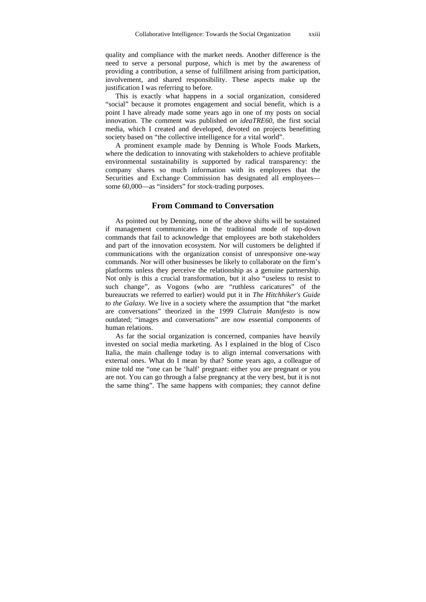quality and compliance with the market needs. Another difference is the need to serve a personal purpose, which is met by the awareness of providing a contribution, a sense of fulfillment arising from participation, involvement, and shared responsibility. These aspects make up the justification I was referring to before.

This is exactly what happens in a social organization, considered "social" because it promotes engagement and social benefit, which is a point I have already made some years ago in one of my posts on social innovation. The comment was published *on ideaTRE60*, the first social media, which I created and developed, devoted on projects benefitting society based on "the collective intelligence for a vital world".

A prominent example made by Denning is Whole Foods Markets, where the dedication to innovating with stakeholders to achieve profitable environmental sustainability is supported by radical transparency: the company shares so much information with its employees that the Securities and Exchange Commission has designated all employees some 60,000—as "insiders" for stock-trading purposes.

#### **From Command to Conversation**

As pointed out by Denning, none of the above shifts will be sustained if management communicates in the traditional mode of top-down commands that fail to acknowledge that employees are both stakeholders and part of the innovation ecosystem. Nor will customers be delighted if communications with the organization consist of unresponsive one-way commands. Nor will other businesses be likely to collaborate on the firm's platforms unless they perceive the relationship as a genuine partnership. Not only is this a crucial transformation, but it also "useless to resist to such change", as Vogons (who are "ruthless caricatures" of the bureaucrats we referred to earlier) would put it in *The Hitchhiker's Guide to the Galaxy*. We live in a society where the assumption that "the market are conversations" theorized in the 1999 *Clutrain Manifesto* is now outdated; "images and conversations" are now essential components of human relations.

As far the social organization is concerned, companies have heavily invested on social media marketing. As I explained in the blog of Cisco Italia, the main challenge today is to align internal conversations with external ones. What do I mean by that? Some years ago, a colleague of mine told me "one can be 'half' pregnant: either you are pregnant or you are not. You can go through a false pregnancy at the very best, but it is not the same thing". The same happens with companies; they cannot define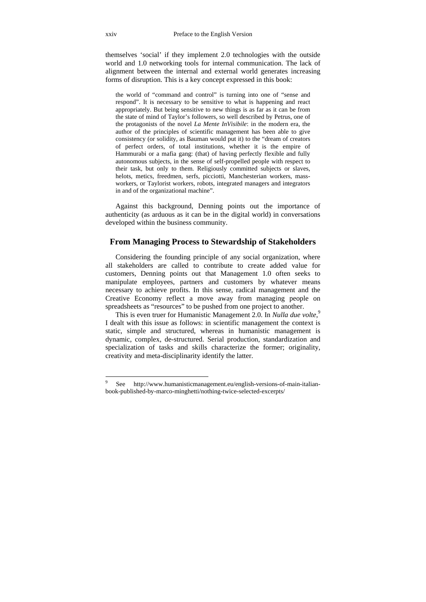themselves 'social' if they implement 2.0 technologies with the outside world and 1.0 networking tools for internal communication. The lack of alignment between the internal and external world generates increasing forms of disruption. This is a key concept expressed in this book:

the world of "command and control" is turning into one of "sense and respond". It is necessary to be sensitive to what is happening and react appropriately. But being sensitive to new things is as far as it can be from the state of mind of Taylor's followers, so well described by Petrus, one of the protagonists of the novel *La Mente InVisibile*: in the modern era, the author of the principles of scientific management has been able to give consistency (or solidity, as Bauman would put it) to the "dream of creators of perfect orders, of total institutions, whether it is the empire of Hammurabi or a mafia gang: (that) of having perfectly flexible and fully autonomous subjects, in the sense of self-propelled people with respect to their task, but only to them. Religiously committed subjects or slaves, helots, metics, freedmen, serfs, picciotti, Manchesterian workers, massworkers, or Taylorist workers, robots, integrated managers and integrators in and of the organizational machine".

Against this background, Denning points out the importance of authenticity (as arduous as it can be in the digital world) in conversations developed within the business community.

#### **From Managing Process to Stewardship of Stakeholders**

Considering the founding principle of any social organization, where all stakeholders are called to contribute to create added value for customers, Denning points out that Management 1.0 often seeks to manipulate employees, partners and customers by whatever means necessary to achieve profits. In this sense, radical management and the Creative Economy reflect a move away from managing people on spreadsheets as "resources" to be pushed from one project to another.

This is even truer for Humanistic Management 2.0. In *Nulla due volte*, 9 I dealt with this issue as follows: in scientific management the context is static, simple and structured, whereas in humanistic management is dynamic, complex, de-structured. Serial production, standardization and specialization of tasks and skills characterize the former; originality, creativity and meta-disciplinarity identify the latter.

<sup>9</sup> See http://www.humanisticmanagement.eu/english-versions-of-main-italianbook-published-by-marco-minghetti/nothing-twice-selected-excerpts/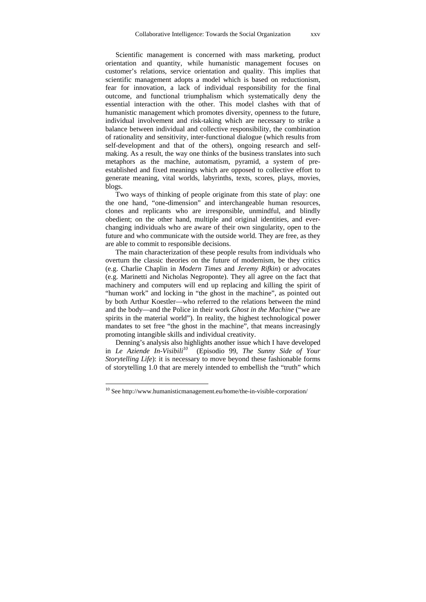Scientific management is concerned with mass marketing, product orientation and quantity, while humanistic management focuses on customer's relations, service orientation and quality. This implies that scientific management adopts a model which is based on reductionism, fear for innovation, a lack of individual responsibility for the final outcome, and functional triumphalism which systematically deny the essential interaction with the other. This model clashes with that of humanistic management which promotes diversity, openness to the future, individual involvement and risk-taking which are necessary to strike a balance between individual and collective responsibility, the combination of rationality and sensitivity, inter-functional dialogue (which results from self-development and that of the others), ongoing research and selfmaking. As a result, the way one thinks of the business translates into such metaphors as the machine, automatism, pyramid, a system of preestablished and fixed meanings which are opposed to collective effort to generate meaning, vital worlds, labyrinths, texts, scores, plays, movies, blogs.

Two ways of thinking of people originate from this state of play: one the one hand, "one-dimension" and interchangeable human resources, clones and replicants who are irresponsible, unmindful, and blindly obedient; on the other hand, multiple and original identities, and everchanging individuals who are aware of their own singularity, open to the future and who communicate with the outside world. They are free, as they are able to commit to responsible decisions.

The main characterization of these people results from individuals who overturn the classic theories on the future of modernism, be they critics (e.g. Charlie Chaplin in *Modern Times* and *Jeremy Rifkin*) or advocates (e.g. Marinetti and Nicholas Negroponte). They all agree on the fact that machinery and computers will end up replacing and killing the spirit of "human work" and locking in "the ghost in the machine", as pointed out by both Arthur Koestler—who referred to the relations between the mind and the body—and the Police in their work *Ghost in the Machine* ("we are spirits in the material world"). In reality, the highest technological power mandates to set free "the ghost in the machine", that means increasingly promoting intangible skills and individual creativity.

Denning's analysis also highlights another issue which I have developed in *Le Aziende In-Visibili10* (Episodio 99, *The Sunny Side of Your Storytelling Life*): it is necessary to move beyond these fashionable forms of storytelling 1.0 that are merely intended to embellish the "truth" which

1

<sup>&</sup>lt;sup>10</sup> See http://www.humanisticmanagement.eu/home/the-in-visible-corporation/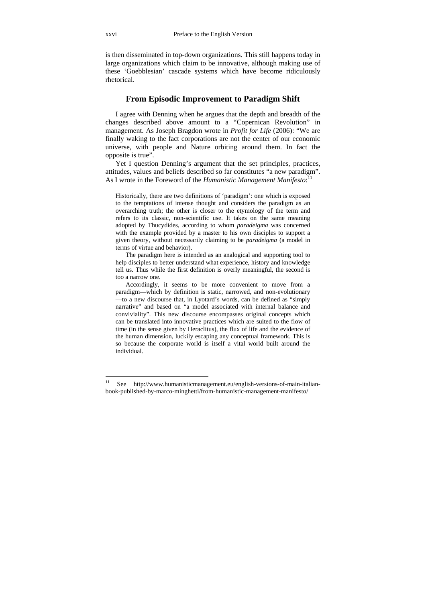is then disseminated in top-down organizations. This still happens today in large organizations which claim to be innovative, although making use of these 'Goebblesian' cascade systems which have become ridiculously rhetorical.

#### **From Episodic Improvement to Paradigm Shift**

I agree with Denning when he argues that the depth and breadth of the changes described above amount to a "Copernican Revolution" in management. As Joseph Bragdon wrote in *Profit for Life* (2006): "We are finally waking to the fact corporations are not the center of our economic universe, with people and Nature orbiting around them. In fact the opposite is true".

Yet I question Denning's argument that the set principles, practices, attitudes, values and beliefs described so far constitutes "a new paradigm". As I wrote in the Foreword of the *Humanistic Management Manifesto*: 11

Historically, there are two definitions of 'paradigm': one which is exposed to the temptations of intense thought and considers the paradigm as an overarching truth; the other is closer to the etymology of the term and refers to its classic, non-scientific use. It takes on the same meaning adopted by Thucydides, according to whom *paradeigma* was concerned with the example provided by a master to his own disciples to support a given theory, without necessarily claiming to be *paradeigma* (a model in terms of virtue and behavior).

The paradigm here is intended as an analogical and supporting tool to help disciples to better understand what experience, history and knowledge tell us. Thus while the first definition is overly meaningful, the second is too a narrow one.

Accordingly, it seems to be more convenient to move from a paradigm—which by definition is static, narrowed, and non-evolutionary —to a new discourse that, in Lyotard's words, can be defined as "simply narrative" and based on "a model associated with internal balance and conviviality". This new discourse encompasses original concepts which can be translated into innovative practices which are suited to the flow of time (in the sense given by Heraclitus), the flux of life and the evidence of the human dimension, luckily escaping any conceptual framework. This is so because the corporate world is itself a vital world built around the individual.

 $11$ See http://www.humanisticmanagement.eu/english-versions-of-main-italianbook-published-by-marco-minghetti/from-humanistic-management-manifesto/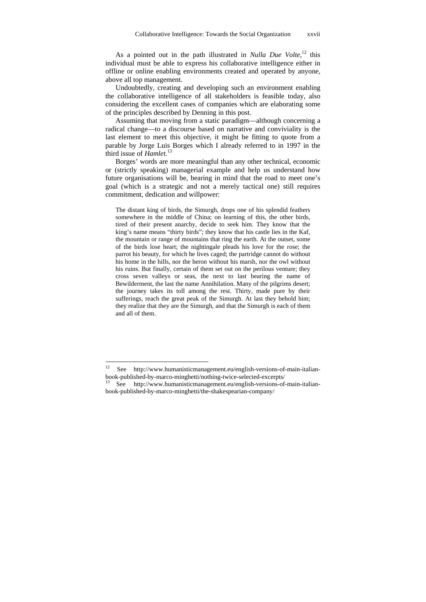As a pointed out in the path illustrated in *Nulla Due Volte*, 12 this individual must be able to express his collaborative intelligence either in offline or online enabling environments created and operated by anyone, above all top management.

Undoubtedly, creating and developing such an environment enabling the collaborative intelligence of all stakeholders is feasible today, also considering the excellent cases of companies which are elaborating some of the principles described by Denning in this post.

Assuming that moving from a static paradigm—although concerning a radical change—to a discourse based on narrative and conviviality is the last element to meet this objective, it might be fitting to quote from a parable by Jorge Luis Borges which I already referred to in 1997 in the third issue of *Hamlet*. 13

Borges' words are more meaningful than any other technical, economic or (strictly speaking) managerial example and help us understand how future organisations will be, bearing in mind that the road to meet one's goal (which is a strategic and not a merely tactical one) still requires commitment, dedication and willpower:

The distant king of birds, the Simurgh, drops one of his splendid feathers somewhere in the middle of China; on learning of this, the other birds, tired of their present anarchy, decide to seek him. They know that the king's name means "thirty birds"; they know that his castle lies in the Kaf, the mountain or range of mountains that ring the earth. At the outset, some of the birds lose heart; the nightingale pleads his love for the rose; the parrot his beauty, for which he lives caged; the partridge cannot do without his home in the hills, nor the heron without his marsh, nor the owl without his ruins. But finally, certain of them set out on the perilous venture; they cross seven valleys or seas, the next to last bearing the name of Bewilderment, the last the name Annihilation. Many of the pilgrims desert; the journey takes its toll among the rest. Thirty, made pure by their sufferings, reach the great peak of the Simurgh. At last they behold him; they realize that they are the Simurgh, and that the Simurgh is each of them and all of them.

<sup>12</sup> 12 See http://www.humanisticmanagement.eu/english-versions-of-main-italianbook-published-by-marco-minghetti/nothing-twice-selected-excerpts/ 13 See http://www.humanisticmanagement.eu/english-versions-of-main-italian-

book-published-by-marco-minghetti/the-shakespearian-company/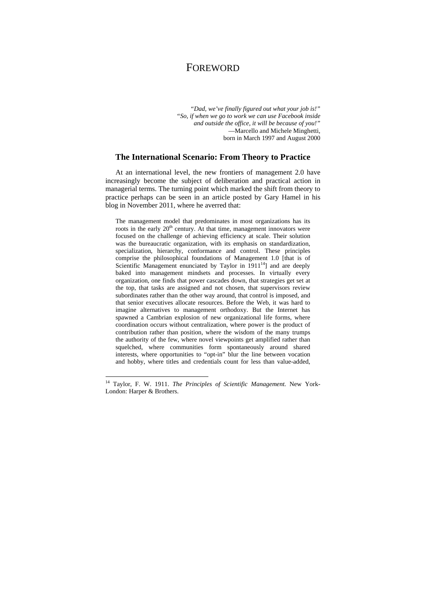## FOREWORD

*"Dad, we've finally figured out what your job is!" "So, if when we go to work we can use Facebook inside and outside the office, it will be because of you!"*  —Marcello and Michele Minghetti, born in March 1997 and August 2000

#### **The International Scenario: From Theory to Practice**

At an international level, the new frontiers of management 2.0 have increasingly become the subject of deliberation and practical action in managerial terms. The turning point which marked the shift from theory to practice perhaps can be seen in an article posted by Gary Hamel in his blog in November 2011, where he averred that:

The management model that predominates in most organizations has its roots in the early  $20<sup>th</sup>$  century. At that time, management innovators were focused on the challenge of achieving efficiency at scale. Their solution was the bureaucratic organization, with its emphasis on standardization, specialization, hierarchy, conformance and control. These principles comprise the philosophical foundations of Management 1.0 [that is of Scientific Management enunciated by Taylor in  $1911<sup>14</sup>$  and are deeply baked into management mindsets and processes. In virtually every organization, one finds that power cascades down, that strategies get set at the top, that tasks are assigned and not chosen, that supervisors review subordinates rather than the other way around, that control is imposed, and that senior executives allocate resources. Before the Web, it was hard to imagine alternatives to management orthodoxy. But the Internet has spawned a Cambrian explosion of new organizational life forms, where coordination occurs without centralization, where power is the product of contribution rather than position, where the wisdom of the many trumps the authority of the few, where novel viewpoints get amplified rather than squelched, where communities form spontaneously around shared interests, where opportunities to "opt-in" blur the line between vocation and hobby, where titles and credentials count for less than value-added,

<sup>14</sup> Taylor, F. W. 1911. *The Principles of Scientific Management.* New York-London: Harper & Brothers.